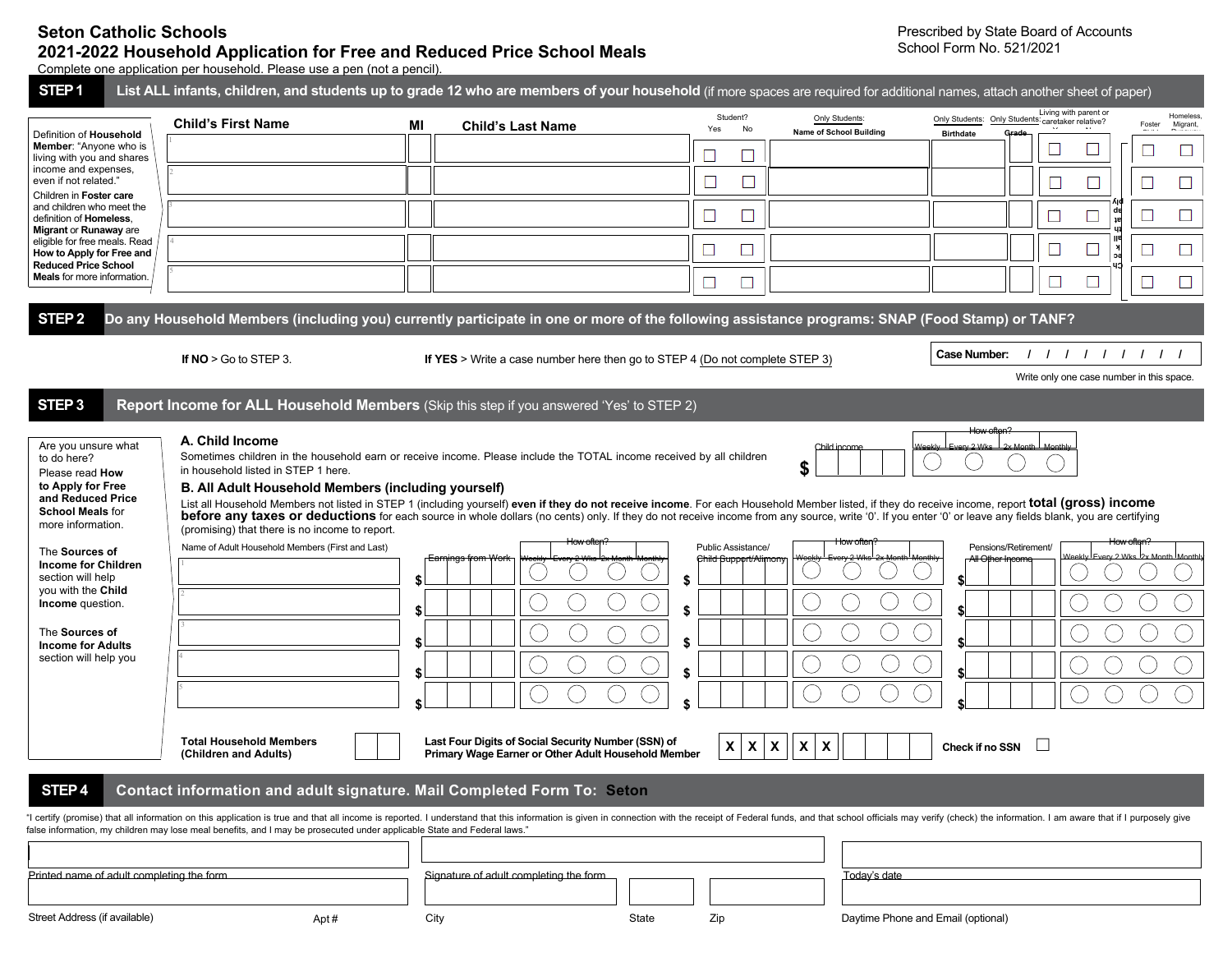## **Seton Catholic Schools 2021-2022 Household Application for Free and Reduced Price School Meals**

Complete one application per household. Please use a pen (not a pencil).

| Definition of Household                                                                                                                                                                                                                                                                                        | <b>Child's First Name</b>                                                                                                                                                                        | MI | <b>Child's Last Name</b>                                                                                                                                       | Student?<br>Yes<br>No                       | Only Students:<br>Name of School Building | Living with parent or<br>Only Students: Only Students: caretaker relative?<br><b>Birthdate</b><br>Grado                                                                                                                                                                                                                                                                                                                                                                 | Homeless<br>Migrant,<br>Foster |
|----------------------------------------------------------------------------------------------------------------------------------------------------------------------------------------------------------------------------------------------------------------------------------------------------------------|--------------------------------------------------------------------------------------------------------------------------------------------------------------------------------------------------|----|----------------------------------------------------------------------------------------------------------------------------------------------------------------|---------------------------------------------|-------------------------------------------|-------------------------------------------------------------------------------------------------------------------------------------------------------------------------------------------------------------------------------------------------------------------------------------------------------------------------------------------------------------------------------------------------------------------------------------------------------------------------|--------------------------------|
| <b>Member:</b> "Anyone who is<br>living with you and shares                                                                                                                                                                                                                                                    |                                                                                                                                                                                                  |    |                                                                                                                                                                | ш                                           |                                           |                                                                                                                                                                                                                                                                                                                                                                                                                                                                         |                                |
| income and expenses,<br>even if not related."<br>Children in Foster care                                                                                                                                                                                                                                       |                                                                                                                                                                                                  |    |                                                                                                                                                                |                                             |                                           | $\Box$<br>$\mathbb{Z}$                                                                                                                                                                                                                                                                                                                                                                                                                                                  | $\Box$                         |
| and children who meet the<br>definition of Homeless,                                                                                                                                                                                                                                                           |                                                                                                                                                                                                  |    |                                                                                                                                                                | P.                                          |                                           | $\Box$                                                                                                                                                                                                                                                                                                                                                                                                                                                                  | $\Box$                         |
| Migrant or Runaway are<br>eligible for free meals. Read<br>How to Apply for Free and                                                                                                                                                                                                                           |                                                                                                                                                                                                  |    |                                                                                                                                                                | ⊔<br>$\Box$                                 |                                           | $\Box$<br>$\mathbb{Z}$                                                                                                                                                                                                                                                                                                                                                                                                                                                  | П<br>$\sqcup$                  |
| <b>Reduced Price School</b><br><b>Meals</b> for more information.                                                                                                                                                                                                                                              |                                                                                                                                                                                                  |    |                                                                                                                                                                |                                             |                                           |                                                                                                                                                                                                                                                                                                                                                                                                                                                                         |                                |
|                                                                                                                                                                                                                                                                                                                |                                                                                                                                                                                                  |    |                                                                                                                                                                | ⊔                                           |                                           |                                                                                                                                                                                                                                                                                                                                                                                                                                                                         |                                |
| STEP <sub>2</sub>                                                                                                                                                                                                                                                                                              | Do any Household Members (including you) currently participate in one or more of the following assistance programs: SNAP (Food Stamp) or TANF?                                                   |    |                                                                                                                                                                |                                             |                                           |                                                                                                                                                                                                                                                                                                                                                                                                                                                                         |                                |
|                                                                                                                                                                                                                                                                                                                | If $NO > Go$ to STEP 3.                                                                                                                                                                          |    | If YES > Write a case number here then go to STEP 4 (Do not complete STEP 3)                                                                                   |                                             |                                           | <b>Case Number:</b><br>11111111                                                                                                                                                                                                                                                                                                                                                                                                                                         |                                |
|                                                                                                                                                                                                                                                                                                                |                                                                                                                                                                                                  |    |                                                                                                                                                                |                                             |                                           | Write only one case number in this space.                                                                                                                                                                                                                                                                                                                                                                                                                               |                                |
| STEP <sub>3</sub>                                                                                                                                                                                                                                                                                              | Report Income for ALL Household Members (Skip this step if you answered 'Yes' to STEP 2)                                                                                                         |    |                                                                                                                                                                |                                             |                                           |                                                                                                                                                                                                                                                                                                                                                                                                                                                                         |                                |
| to do here?<br>Please read How<br>to Apply for Free<br>and Reduced Price<br><b>School Meals for</b><br>more information.<br>The Sources of<br><b>Income for Children</b><br>section will help<br>you with the Child<br>Income question.<br>The Sources of<br><b>Income for Adults</b><br>section will help you | in household listed in STEP 1 here.<br>B. All Adult Household Members (including yourself)<br>(promising) that there is no income to report.<br>Name of Adult Household Members (First and Last) |    | Sometimes children in the household earn or receive income. Please include the TOTAL income received by all children<br>How ofter<br><b>Earnings from Work</b> | Public Assistance/<br>Child Support/Alimony | Child incom<br>How ofter                  | List all Household Members not listed in STEP 1 (including yourself) even if they do not receive income. For each Household Member listed, if they do receive income, report total (gross) income<br>before any taxes or deductions for each source in whole dollars (no cents) only. If they do not receive income from any source, write '0'. If you enter '0' or leave any fields blank, you are certifying<br>How often?<br>Pensions/Retirement/<br>All Other Incor |                                |
|                                                                                                                                                                                                                                                                                                                | <b>Total Household Members</b><br>(Children and Adults)                                                                                                                                          |    | Last Four Digits of Social Security Number (SSN) of<br>Primary Wage Earner or Other Adult Household Member                                                     | $x \mid x$                                  | $  \mathbf{x}  $<br> X <br>X              | $\pm$<br>Check if no SSN                                                                                                                                                                                                                                                                                                                                                                                                                                                |                                |
| STEP <sub>4</sub>                                                                                                                                                                                                                                                                                              | Contact information and adult signature. Mail Completed Form To: Seton                                                                                                                           |    |                                                                                                                                                                |                                             |                                           |                                                                                                                                                                                                                                                                                                                                                                                                                                                                         |                                |
|                                                                                                                                                                                                                                                                                                                | false information, my children may lose meal benefits, and I may be prosecuted under applicable State and Federal laws."                                                                         |    |                                                                                                                                                                |                                             |                                           | "I certify (promise) that all information on this application is true and that all income is reported. I understand that this information is given in connection with the receipt of Federal funds, and that school officials                                                                                                                                                                                                                                           |                                |
|                                                                                                                                                                                                                                                                                                                |                                                                                                                                                                                                  |    |                                                                                                                                                                |                                             |                                           |                                                                                                                                                                                                                                                                                                                                                                                                                                                                         |                                |
|                                                                                                                                                                                                                                                                                                                |                                                                                                                                                                                                  |    | Signature of adult completing the form                                                                                                                         |                                             | Today's date                              |                                                                                                                                                                                                                                                                                                                                                                                                                                                                         |                                |
| Printed name of adult completing the form                                                                                                                                                                                                                                                                      |                                                                                                                                                                                                  |    |                                                                                                                                                                |                                             |                                           |                                                                                                                                                                                                                                                                                                                                                                                                                                                                         |                                |